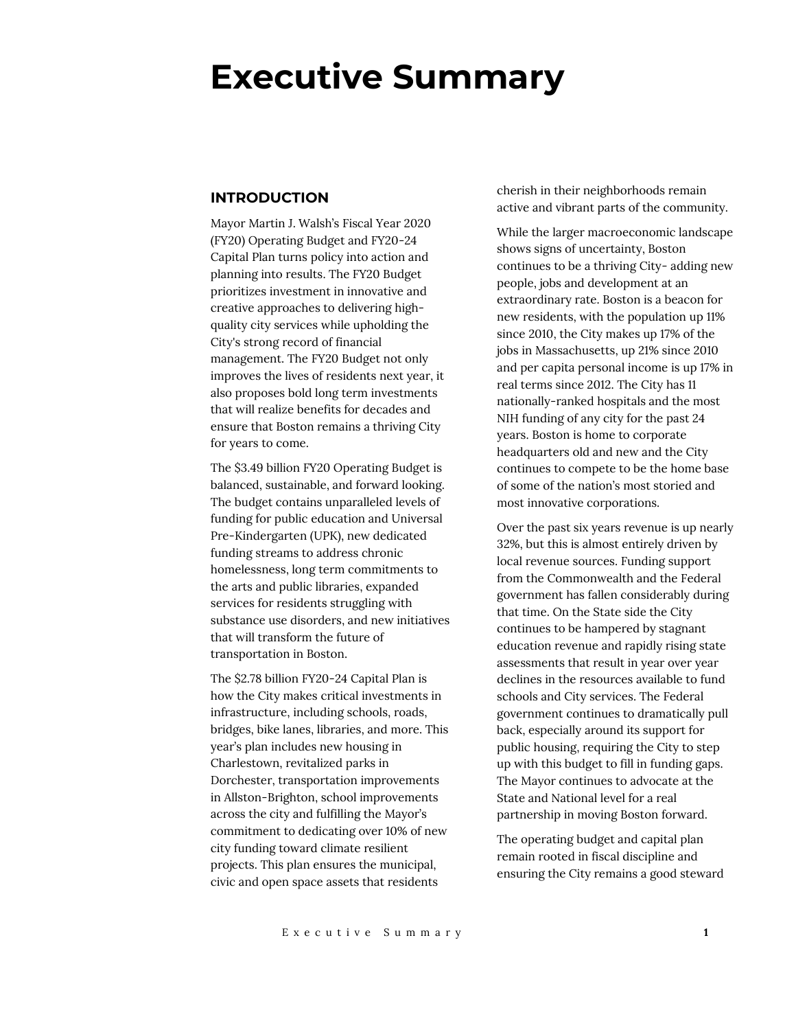# **Executive Summary**

## **INTRODUCTION**

Mayor Martin J. Walsh's Fiscal Year 2020 (FY20) Operating Budget and FY20-24 Capital Plan turns policy into action and planning into results. The FY20 Budget prioritizes investment in innovative and creative approaches to delivering highquality city services while upholding the City's strong record of financial management. The FY20 Budget not only improves the lives of residents next year, it also proposes bold long term investments that will realize benefits for decades and ensure that Boston remains a thriving City for years to come.

The \$3.49 billion FY20 Operating Budget is balanced, sustainable, and forward looking. The budget contains unparalleled levels of funding for public education and Universal Pre-Kindergarten (UPK), new dedicated funding streams to address chronic homelessness, long term commitments to the arts and public libraries, expanded services for residents struggling with substance use disorders, and new initiatives that will transform the future of transportation in Boston.

The \$2.78 billion FY20-24 Capital Plan is how the City makes critical investments in infrastructure, including schools, roads, bridges, bike lanes, libraries, and more. This year's plan includes new housing in Charlestown, revitalized parks in Dorchester, transportation improvements in Allston-Brighton, school improvements across the city and fulfilling the Mayor's commitment to dedicating over 10% of new city funding toward climate resilient projects. This plan ensures the municipal, civic and open space assets that residents

cherish in their neighborhoods remain active and vibrant parts of the community.

While the larger macroeconomic landscape shows signs of uncertainty, Boston continues to be a thriving City- adding new people, jobs and development at an extraordinary rate. Boston is a beacon for new residents, with the population up 11% since 2010, the City makes up 17% of the jobs in Massachusetts, up 21% since 2010 and per capita personal income is up 17% in real terms since 2012. The City has 11 nationally-ranked hospitals and the most NIH funding of any city for the past 24 years. Boston is home to corporate headquarters old and new and the City continues to compete to be the home base of some of the nation's most storied and most innovative corporations.

Over the past six years revenue is up nearly 32%, but this is almost entirely driven by local revenue sources. Funding support from the Commonwealth and the Federal government has fallen considerably during that time. On the State side the City continues to be hampered by stagnant education revenue and rapidly rising state assessments that result in year over year declines in the resources available to fund schools and City services. The Federal government continues to dramatically pull back, especially around its support for public housing, requiring the City to step up with this budget to fill in funding gaps. The Mayor continues to advocate at the State and National level for a real partnership in moving Boston forward.

The operating budget and capital plan remain rooted in fiscal discipline and ensuring the City remains a good steward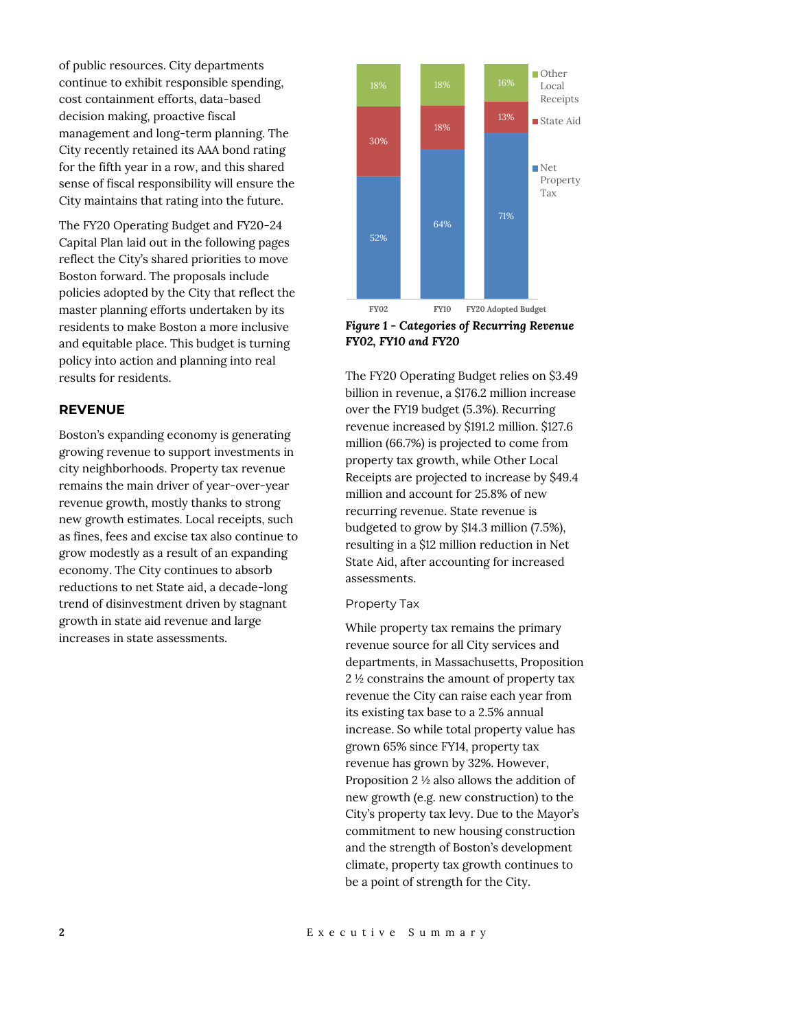of public resources. City departments continue to exhibit responsible spending, cost containment efforts, data-based decision making, proactive fiscal management and long-term planning. The City recently retained its AAA bond rating for the fifth year in a row, and this shared sense of fiscal responsibility will ensure the City maintains that rating into the future.

The FY20 Operating Budget and FY20-24 Capital Plan laid out in the following pages reflect the City's shared priorities to move Boston forward. The proposals include policies adopted by the City that reflect the master planning efforts undertaken by its residents to make Boston a more inclusive and equitable place. This budget is turning policy into action and planning into real results for residents.

## **REVENUE**

Boston's expanding economy is generating growing revenue to support investments in city neighborhoods. Property tax revenue remains the main driver of year-over-year revenue growth, mostly thanks to strong new growth estimates. Local receipts, such as fines, fees and excise tax also continue to grow modestly as a result of an expanding economy. The City continues to absorb reductions to net State aid, a decade-long trend of disinvestment driven by stagnant growth in state aid revenue and large increases in state assessments.



*Figure 1 - Categories of Recurring Revenue FY02, FY10 and FY20*

The FY20 Operating Budget relies on \$3.49 billion in revenue, a \$176.2 million increase over the FY19 budget (5.3%). Recurring revenue increased by \$191.2 million. \$127.6 million (66.7%) is projected to come from property tax growth, while Other Local Receipts are projected to increase by \$49.4 million and account for 25.8% of new recurring revenue. State revenue is budgeted to grow by \$14.3 million (7.5%), resulting in a \$12 million reduction in Net State Aid, after accounting for increased assessments.

#### Property Tax

While property tax remains the primary revenue source for all City services and departments, in Massachusetts, Proposition 2 ½ constrains the amount of property tax revenue the City can raise each year from its existing tax base to a 2.5% annual increase. So while total property value has grown 65% since FY14, property tax revenue has grown by 32%. However, Proposition 2 ½ also allows the addition of new growth (e.g. new construction) to the City's property tax levy. Due to the Mayor's commitment to new housing construction and the strength of Boston's development climate, property tax growth continues to be a point of strength for the City.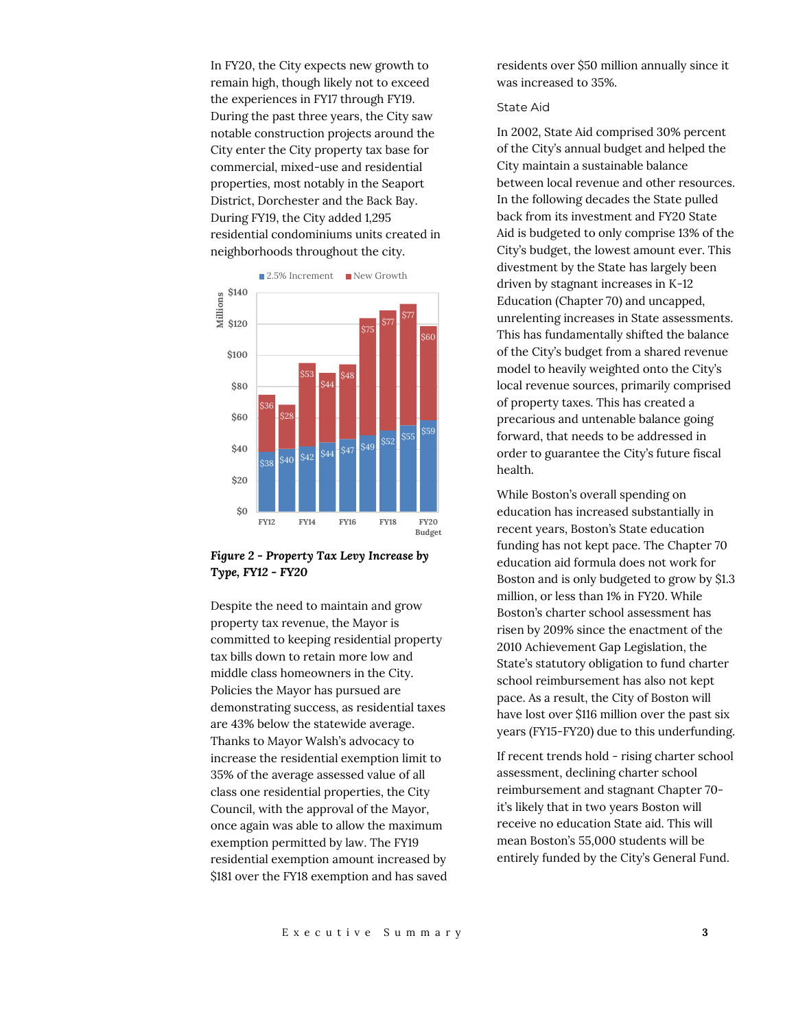In FY20, the City expects new growth to remain high, though likely not to exceed the experiences in FY17 through FY19. During the past three years, the City saw notable construction projects around the City enter the City property tax base for commercial, mixed-use and residential properties, most notably in the Seaport District, Dorchester and the Back Bay. During FY19, the City added 1,295 residential condominiums units created in neighborhoods throughout the city.



*Figure 2 - Property Tax Levy Increase by Type, FY12 - FY20*

Despite the need to maintain and grow property tax revenue, the Mayor is committed to keeping residential property tax bills down to retain more low and middle class homeowners in the City. Policies the Mayor has pursued are demonstrating success, as residential taxes are 43% below the statewide average. Thanks to Mayor Walsh's advocacy to increase the residential exemption limit to 35% of the average assessed value of all class one residential properties, the City Council, with the approval of the Mayor, once again was able to allow the maximum exemption permitted by law. The FY19 residential exemption amount increased by \$181 over the FY18 exemption and has saved residents over \$50 million annually since it was increased to 35%.

## State Aid

In 2002, State Aid comprised 30% percent of the City's annual budget and helped the City maintain a sustainable balance between local revenue and other resources. In the following decades the State pulled back from its investment and FY20 State Aid is budgeted to only comprise 13% of the City's budget, the lowest amount ever. This divestment by the State has largely been driven by stagnant increases in K-12 Education (Chapter 70) and uncapped, unrelenting increases in State assessments. This has fundamentally shifted the balance of the City's budget from a shared revenue model to heavily weighted onto the City's local revenue sources, primarily comprised of property taxes. This has created a precarious and untenable balance going forward, that needs to be addressed in order to guarantee the City's future fiscal health.

While Boston's overall spending on education has increased substantially in recent years, Boston's State education funding has not kept pace. The Chapter 70 education aid formula does not work for Boston and is only budgeted to grow by \$1.3 million, or less than 1% in FY20. While Boston's charter school assessment has risen by 209% since the enactment of the 2010 Achievement Gap Legislation, the State's statutory obligation to fund charter school reimbursement has also not kept pace. As a result, the City of Boston will have lost over \$116 million over the past six years (FY15-FY20) due to this underfunding.

If recent trends hold - rising charter school assessment, declining charter school reimbursement and stagnant Chapter 70 it's likely that in two years Boston will receive no education State aid. This will mean Boston's 55,000 students will be entirely funded by the City's General Fund.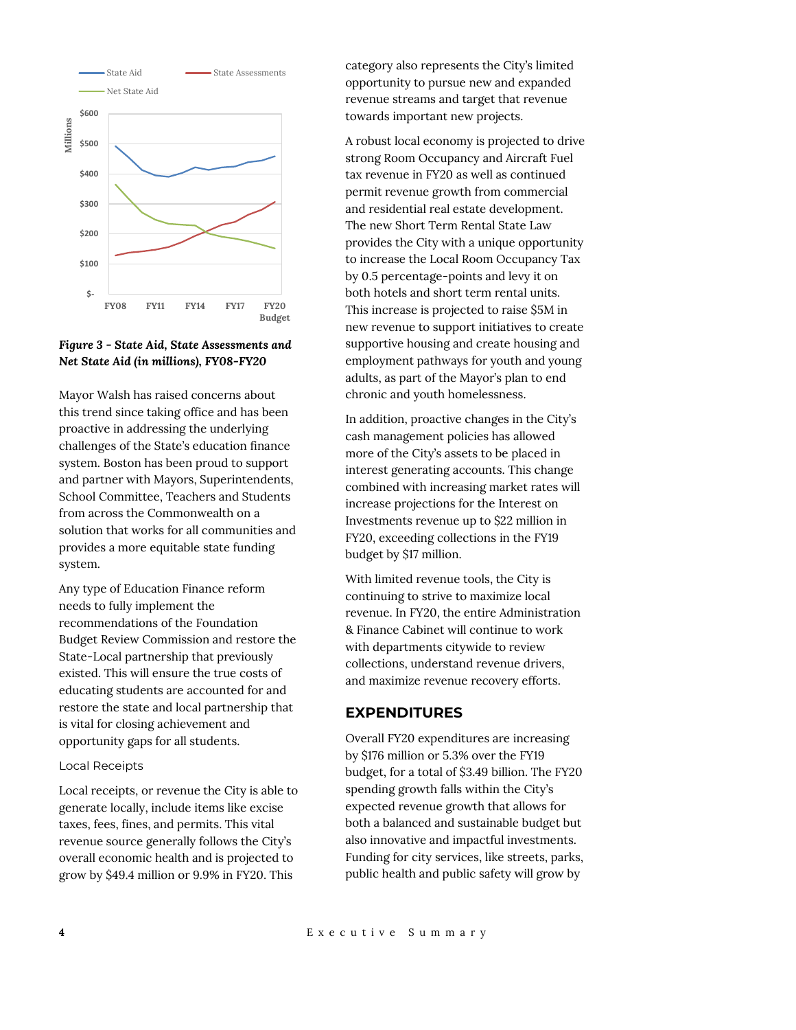

*Figure 3 - State Aid, State Assessments and Net State Aid (in millions), FY08-FY20*

Mayor Walsh has raised concerns about this trend since taking office and has been proactive in addressing the underlying challenges of the State's education finance system. Boston has been proud to support and partner with Mayors, Superintendents, School Committee, Teachers and Students from across the Commonwealth on a solution that works for all communities and provides a more equitable state funding system.

Any type of Education Finance reform needs to fully implement the recommendations of the Foundation Budget Review Commission and restore the State-Local partnership that previously existed. This will ensure the true costs of educating students are accounted for and restore the state and local partnership that is vital for closing achievement and opportunity gaps for all students.

#### Local Receipts

Local receipts, or revenue the City is able to generate locally, include items like excise taxes, fees, fines, and permits. This vital revenue source generally follows the City's overall economic health and is projected to grow by \$49.4 million or 9.9% in FY20. This

category also represents the City's limited opportunity to pursue new and expanded revenue streams and target that revenue towards important new projects.

A robust local economy is projected to drive strong Room Occupancy and Aircraft Fuel tax revenue in FY20 as well as continued permit revenue growth from commercial and residential real estate development. The new Short Term Rental State Law provides the City with a unique opportunity to increase the Local Room Occupancy Tax by 0.5 percentage-points and levy it on both hotels and short term rental units. This increase is projected to raise \$5M in new revenue to support initiatives to create supportive housing and create housing and employment pathways for youth and young adults, as part of the Mayor's plan to end chronic and youth homelessness.

In addition, proactive changes in the City's cash management policies has allowed more of the City's assets to be placed in interest generating accounts. This change combined with increasing market rates will increase projections for the Interest on Investments revenue up to \$22 million in FY20, exceeding collections in the FY19 budget by \$17 million.

With limited revenue tools, the City is continuing to strive to maximize local revenue. In FY20, the entire Administration & Finance Cabinet will continue to work with departments citywide to review collections, understand revenue drivers, and maximize revenue recovery efforts.

## **EXPENDITURES**

Overall FY20 expenditures are increasing by \$176 million or 5.3% over the FY19 budget, for a total of \$3.49 billion. The FY20 spending growth falls within the City's expected revenue growth that allows for both a balanced and sustainable budget but also innovative and impactful investments. Funding for city services, like streets, parks, public health and public safety will grow by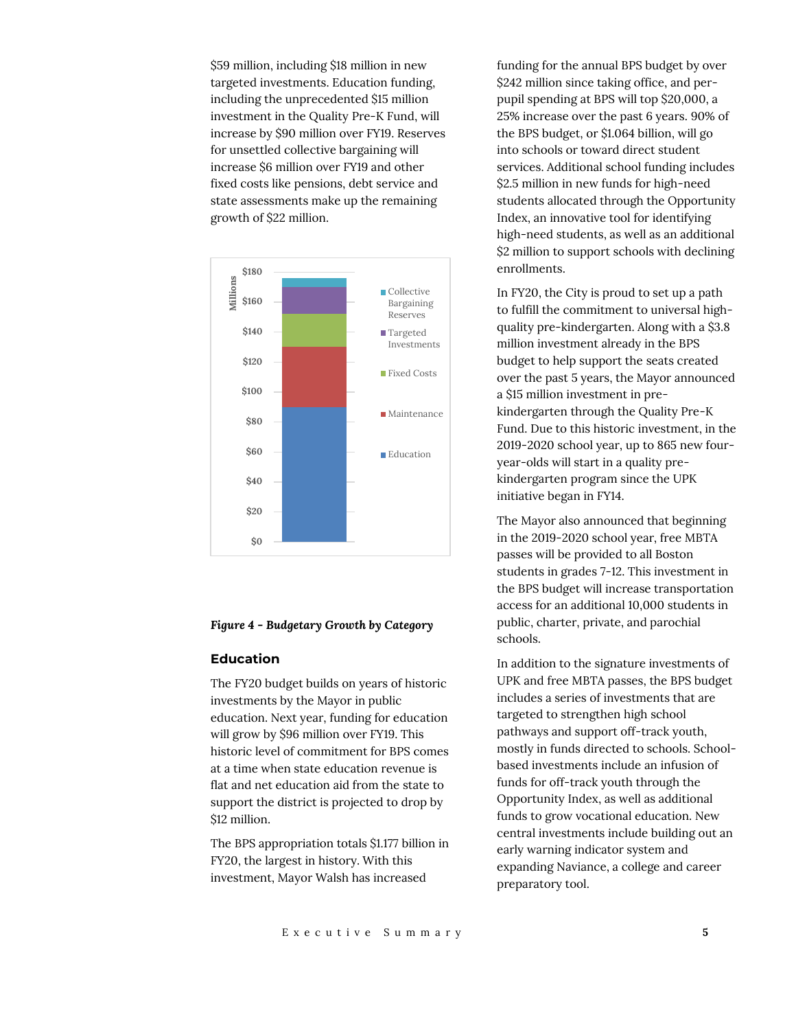\$59 million, including \$18 million in new targeted investments. Education funding, including the unprecedented \$15 million investment in the Quality Pre-K Fund, will increase by \$90 million over FY19. Reserves for unsettled collective bargaining will increase \$6 million over FY19 and other fixed costs like pensions, debt service and state assessments make up the remaining growth of \$22 million.



#### *Figure 4 - Budgetary Growth by Category*

## **Education**

The FY20 budget builds on years of historic investments by the Mayor in public education. Next year, funding for education will grow by \$96 million over FY19. This historic level of commitment for BPS comes at a time when state education revenue is flat and net education aid from the state to support the district is projected to drop by \$12 million.

The BPS appropriation totals \$1.177 billion in FY20, the largest in history. With this investment, Mayor Walsh has increased

funding for the annual BPS budget by over \$242 million since taking office, and perpupil spending at BPS will top \$20,000, a 25% increase over the past 6 years. 90% of the BPS budget, or \$1.064 billion, will go into schools or toward direct student services. Additional school funding includes \$2.5 million in new funds for high-need students allocated through the Opportunity Index, an innovative tool for identifying high-need students, as well as an additional \$2 million to support schools with declining enrollments.

In FY20, the City is proud to set up a path to fulfill the commitment to universal highquality pre-kindergarten. Along with a \$3.8 million investment already in the BPS budget to help support the seats created over the past 5 years, the Mayor announced a \$15 million investment in prekindergarten through the Quality Pre-K Fund. Due to this historic investment, in the 2019-2020 school year, up to 865 new fouryear-olds will start in a quality prekindergarten program since the UPK initiative began in FY14.

The Mayor also announced that beginning in the 2019-2020 school year, free MBTA passes will be provided to all Boston students in grades 7-12. This investment in the BPS budget will increase transportation access for an additional 10,000 students in public, charter, private, and parochial schools.

In addition to the signature investments of UPK and free MBTA passes, the BPS budget includes a series of investments that are targeted to strengthen high school pathways and support off-track youth, mostly in funds directed to schools. Schoolbased investments include an infusion of funds for off-track youth through the Opportunity Index, as well as additional funds to grow vocational education. New central investments include building out an early warning indicator system and expanding Naviance, a college and career preparatory tool.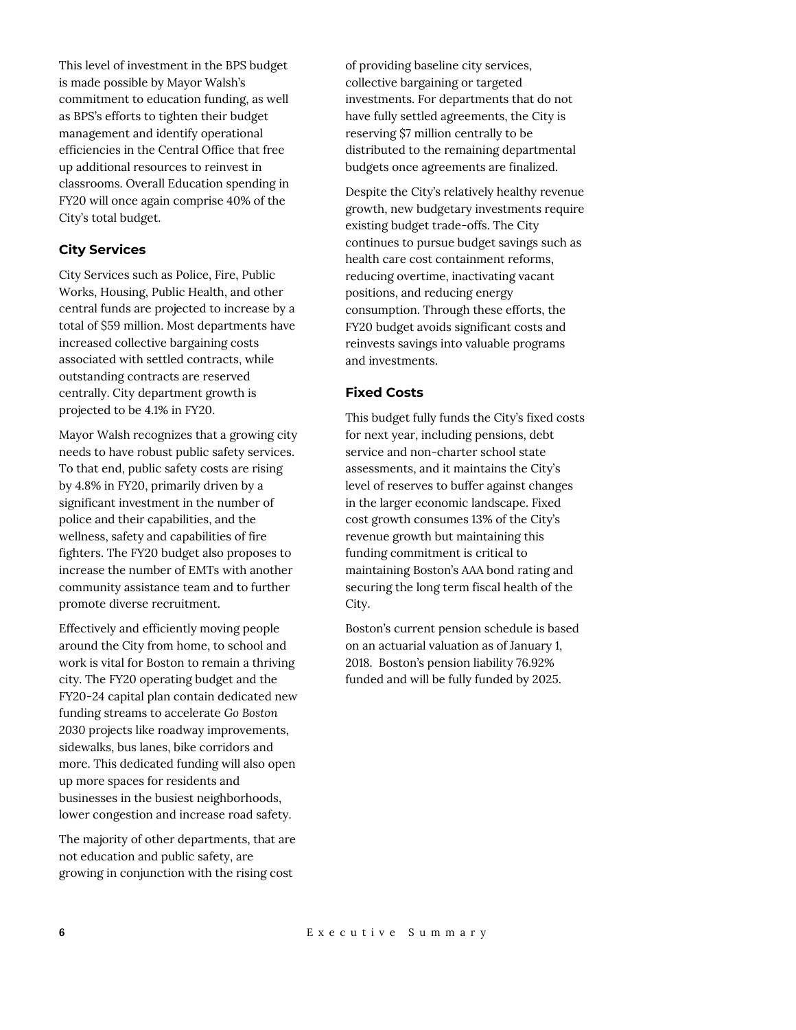This level of investment in the BPS budget is made possible by Mayor Walsh's commitment to education funding, as well as BPS's efforts to tighten their budget management and identify operational efficiencies in the Central Office that free up additional resources to reinvest in classrooms. Overall Education spending in FY20 will once again comprise 40% of the City's total budget.

## **City Services**

City Services such as Police, Fire, Public Works, Housing, Public Health, and other central funds are projected to increase by a total of \$59 million. Most departments have increased collective bargaining costs associated with settled contracts, while outstanding contracts are reserved centrally. City department growth is projected to be 4.1% in FY20.

Mayor Walsh recognizes that a growing city needs to have robust public safety services. To that end, public safety costs are rising by 4.8% in FY20, primarily driven by a significant investment in the number of police and their capabilities, and the wellness, safety and capabilities of fire fighters. The FY20 budget also proposes to increase the number of EMTs with another community assistance team and to further promote diverse recruitment.

Effectively and efficiently moving people around the City from home, to school and work is vital for Boston to remain a thriving city. The FY20 operating budget and the FY20-24 capital plan contain dedicated new funding streams to accelerate *Go Boston 2030* projects like roadway improvements, sidewalks, bus lanes, bike corridors and more. This dedicated funding will also open up more spaces for residents and businesses in the busiest neighborhoods, lower congestion and increase road safety.

The majority of other departments, that are not education and public safety, are growing in conjunction with the rising cost

of providing baseline city services, collective bargaining or targeted investments. For departments that do not have fully settled agreements, the City is reserving \$7 million centrally to be distributed to the remaining departmental budgets once agreements are finalized.

Despite the City's relatively healthy revenue growth, new budgetary investments require existing budget trade-offs. The City continues to pursue budget savings such as health care cost containment reforms, reducing overtime, inactivating vacant positions, and reducing energy consumption. Through these efforts, the FY20 budget avoids significant costs and reinvests savings into valuable programs and investments.

# **Fixed Costs**

This budget fully funds the City's fixed costs for next year, including pensions, debt service and non-charter school state assessments, and it maintains the City's level of reserves to buffer against changes in the larger economic landscape. Fixed cost growth consumes 13% of the City's revenue growth but maintaining this funding commitment is critical to maintaining Boston's AAA bond rating and securing the long term fiscal health of the City.

Boston's current pension schedule is based on an actuarial valuation as of January 1, 2018. Boston's pension liability 76.92% funded and will be fully funded by 2025.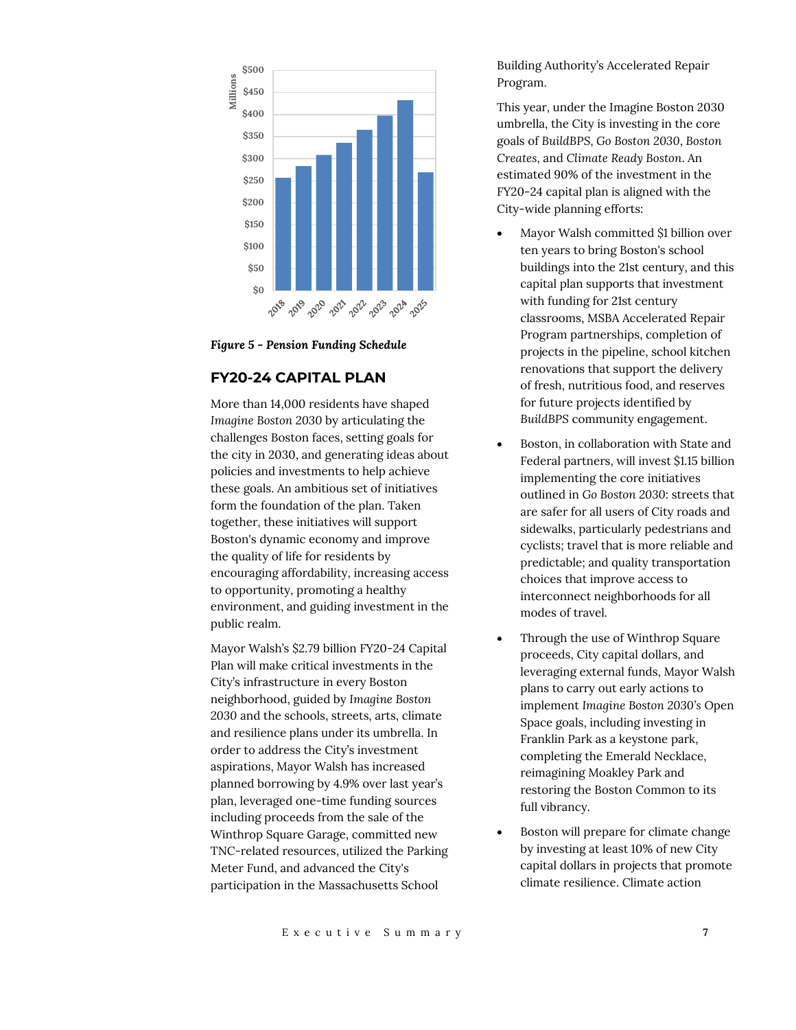

*Figure 5 - Pension Funding Schedule*

# **FY20-24 CAPITAL PLAN**

More than 14,000 residents have shaped *Imagine Boston 2030* by articulating the challenges Boston faces, setting goals for the city in 2030, and generating ideas about policies and investments to help achieve these goals. An ambitious set of initiatives form the foundation of the plan. Taken together, these initiatives will support Boston's dynamic economy and improve the quality of life for residents by encouraging affordability, increasing access to opportunity, promoting a healthy environment, and guiding investment in the public realm.

Mayor Walsh's \$2.79 billion FY20-24 Capital Plan will make critical investments in the City's infrastructure in every Boston neighborhood, guided by *Imagine Boston 2030* and the schools, streets, arts, climate and resilience plans under its umbrella. In order to address the City's investment aspirations, Mayor Walsh has increased planned borrowing by 4.9% over last year's plan, leveraged one-time funding sources including proceeds from the sale of the Winthrop Square Garage, committed new TNC-related resources, utilized the Parking Meter Fund, and advanced the City's participation in the Massachusetts School

Building Authority's Accelerated Repair Program.

This year, under the Imagine Boston 2030 umbrella, the City is investing in the core goals of *BuildBPS*, *Go Boston 2030*, *Boston Creates*, and *Climate Ready Boston*. An estimated 90% of the investment in the FY20-24 capital plan is aligned with the City-wide planning efforts:

- Mayor Walsh committed \$1 billion over ten years to bring Boston's school buildings into the 21st century, and this capital plan supports that investment with funding for 21st century classrooms, MSBA Accelerated Repair Program partnerships, completion of projects in the pipeline, school kitchen renovations that support the delivery of fresh, nutritious food, and reserves for future projects identified by *BuildBPS* community engagement.
- Boston, in collaboration with State and Federal partners, will invest \$1.15 billion implementing the core initiatives outlined in *Go Boston 2030*: streets that are safer for all users of City roads and sidewalks, particularly pedestrians and cyclists; travel that is more reliable and predictable; and quality transportation choices that improve access to interconnect neighborhoods for all modes of travel.
- Through the use of Winthrop Square proceeds, City capital dollars, and leveraging external funds, Mayor Walsh plans to carry out early actions to implement *Imagine Boston 2030's* Open Space goals, including investing in Franklin Park as a keystone park, completing the Emerald Necklace, reimagining Moakley Park and restoring the Boston Common to its full vibrancy.
- Boston will prepare for climate change by investing at least 10% of new City capital dollars in projects that promote climate resilience. Climate action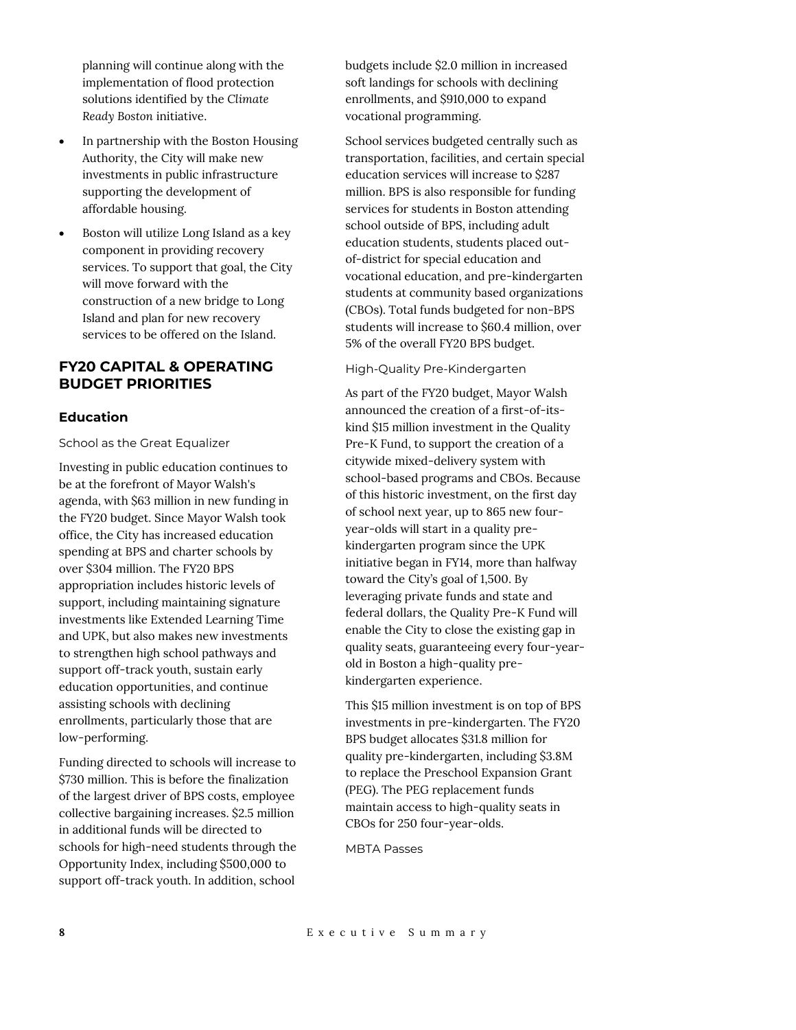planning will continue along with the implementation of flood protection solutions identified by the *Climate Ready Boston* initiative.

- In partnership with the Boston Housing Authority, the City will make new investments in public infrastructure supporting the development of affordable housing.
- Boston will utilize Long Island as a key component in providing recovery services. To support that goal, the City will move forward with the construction of a new bridge to Long Island and plan for new recovery services to be offered on the Island.

# **FY20 CAPITAL & OPERATING BUDGET PRIORITIES**

## **Education**

School as the Great Equalizer

Investing in public education continues to be at the forefront of Mayor Walsh's agenda, with \$63 million in new funding in the FY20 budget. Since Mayor Walsh took office, the City has increased education spending at BPS and charter schools by over \$304 million. The FY20 BPS appropriation includes historic levels of support, including maintaining signature investments like Extended Learning Time and UPK, but also makes new investments to strengthen high school pathways and support off-track youth, sustain early education opportunities, and continue assisting schools with declining enrollments, particularly those that are low-performing.

Funding directed to schools will increase to \$730 million. This is before the finalization of the largest driver of BPS costs, employee collective bargaining increases. \$2.5 million in additional funds will be directed to schools for high-need students through the Opportunity Index, including \$500,000 to support off-track youth. In addition, school

budgets include \$2.0 million in increased soft landings for schools with declining enrollments, and \$910,000 to expand vocational programming.

School services budgeted centrally such as transportation, facilities, and certain special education services will increase to \$287 million. BPS is also responsible for funding services for students in Boston attending school outside of BPS, including adult education students, students placed outof-district for special education and vocational education, and pre-kindergarten students at community based organizations (CBOs). Total funds budgeted for non-BPS students will increase to \$60.4 million, over 5% of the overall FY20 BPS budget.

## High-Quality Pre-Kindergarten

As part of the FY20 budget, Mayor Walsh announced the creation of a first-of-itskind \$15 million investment in the Quality Pre-K Fund, to support the creation of a citywide mixed-delivery system with school-based programs and CBOs. Because of this historic investment, on the first day of school next year, up to 865 new fouryear-olds will start in a quality prekindergarten program since the UPK initiative began in FY14, more than halfway toward the City's goal of 1,500. By leveraging private funds and state and federal dollars, the Quality Pre-K Fund will enable the City to close the existing gap in quality seats, guaranteeing every four-yearold in Boston a high-quality prekindergarten experience.

This \$15 million investment is on top of BPS investments in pre-kindergarten. The FY20 BPS budget allocates \$31.8 million for quality pre-kindergarten, including \$3.8M to replace the Preschool Expansion Grant (PEG). The PEG replacement funds maintain access to high-quality seats in CBOs for 250 four-year-olds.

MBTA Passes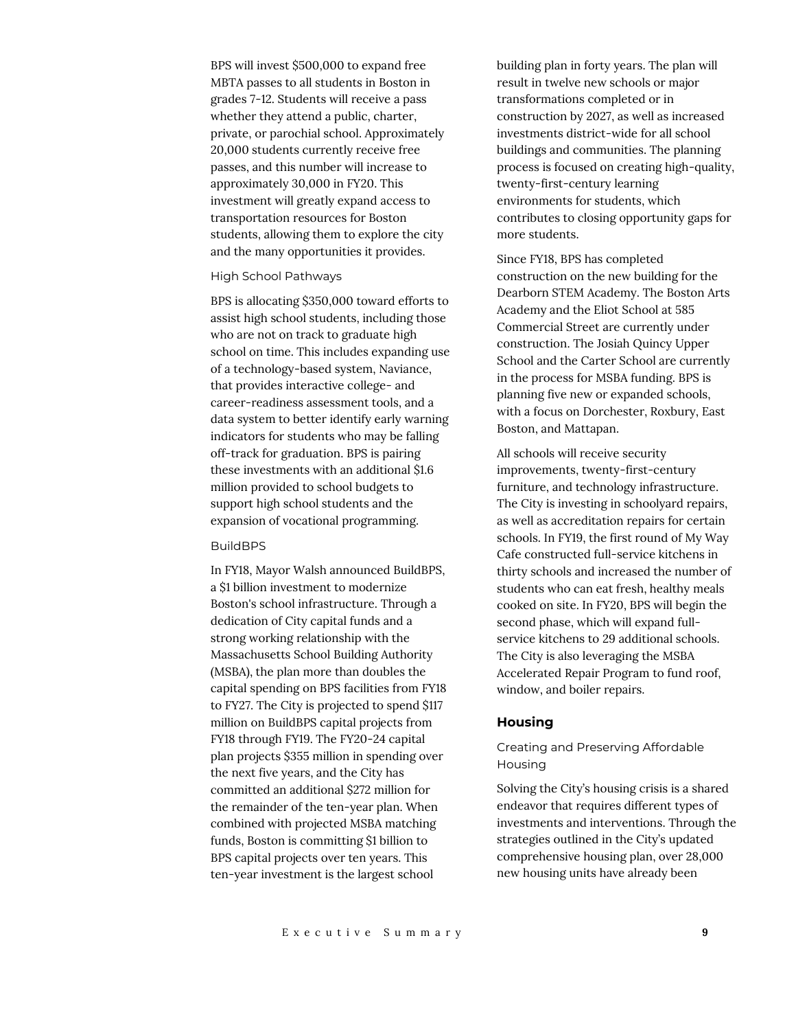BPS will invest \$500,000 to expand free MBTA passes to all students in Boston in grades 7-12. Students will receive a pass whether they attend a public, charter, private, or parochial school. Approximately 20,000 students currently receive free passes, and this number will increase to approximately 30,000 in FY20. This investment will greatly expand access to transportation resources for Boston students, allowing them to explore the city and the many opportunities it provides.

#### High School Pathways

BPS is allocating \$350,000 toward efforts to assist high school students, including those who are not on track to graduate high school on time. This includes expanding use of a technology-based system, Naviance, that provides interactive college- and career-readiness assessment tools, and a data system to better identify early warning indicators for students who may be falling off-track for graduation. BPS is pairing these investments with an additional \$1.6 million provided to school budgets to support high school students and the expansion of vocational programming.

#### BuildBPS

In FY18, Mayor Walsh announced BuildBPS, a \$1 billion investment to modernize Boston's school infrastructure. Through a dedication of City capital funds and a strong working relationship with the Massachusetts School Building Authority (MSBA), the plan more than doubles the capital spending on BPS facilities from FY18 to FY27. The City is projected to spend \$117 million on BuildBPS capital projects from FY18 through FY19. The FY20-24 capital plan projects \$355 million in spending over the next five years, and the City has committed an additional \$272 million for the remainder of the ten-year plan. When combined with projected MSBA matching funds, Boston is committing \$1 billion to BPS capital projects over ten years. This ten-year investment is the largest school

building plan in forty years. The plan will result in twelve new schools or major transformations completed or in construction by 2027, as well as increased investments district-wide for all school buildings and communities. The planning process is focused on creating high-quality, twenty-first-century learning environments for students, which contributes to closing opportunity gaps for more students.

Since FY18, BPS has completed construction on the new building for the Dearborn STEM Academy. The Boston Arts Academy and the Eliot School at 585 Commercial Street are currently under construction. The Josiah Quincy Upper School and the Carter School are currently in the process for MSBA funding. BPS is planning five new or expanded schools, with a focus on Dorchester, Roxbury, East Boston, and Mattapan.

All schools will receive security improvements, twenty-first-century furniture, and technology infrastructure. The City is investing in schoolyard repairs, as well as accreditation repairs for certain schools. In FY19, the first round of My Way Cafe constructed full-service kitchens in thirty schools and increased the number of students who can eat fresh, healthy meals cooked on site. In FY20, BPS will begin the second phase, which will expand fullservice kitchens to 29 additional schools. The City is also leveraging the MSBA Accelerated Repair Program to fund roof, window, and boiler repairs.

#### **Housing**

## Creating and Preserving Affordable Housing

Solving the City's housing crisis is a shared endeavor that requires different types of investments and interventions. Through the strategies outlined in the City's updated comprehensive housing plan, over 28,000 new housing units have already been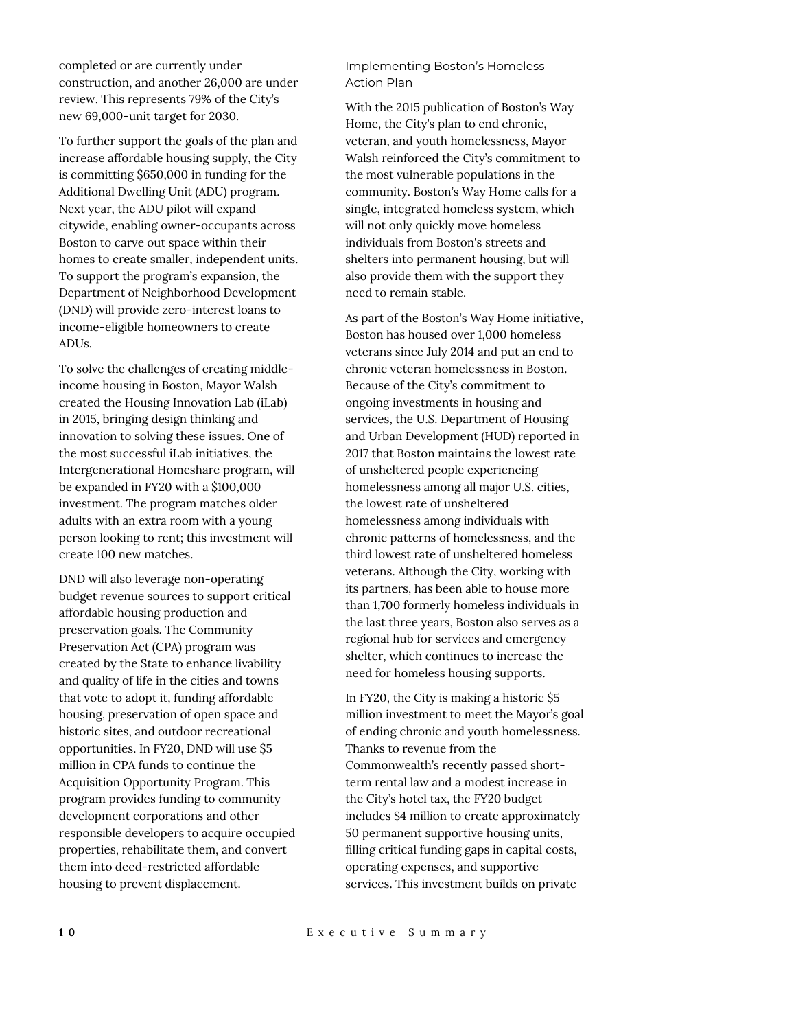completed or are currently under construction, and another 26,000 are under review. This represents 79% of the City's new 69,000-unit target for 2030.

To further support the goals of the plan and increase affordable housing supply, the City is committing \$650,000 in funding for the Additional Dwelling Unit (ADU) program. Next year, the ADU pilot will expand citywide, enabling owner-occupants across Boston to carve out space within their homes to create smaller, independent units. To support the program's expansion, the Department of Neighborhood Development (DND) will provide zero-interest loans to income-eligible homeowners to create ADUs.

To solve the challenges of creating middleincome housing in Boston, Mayor Walsh created the Housing Innovation Lab (iLab) in 2015, bringing design thinking and innovation to solving these issues. One of the most successful iLab initiatives, the Intergenerational Homeshare program, will be expanded in FY20 with a \$100,000 investment. The program matches older adults with an extra room with a young person looking to rent; this investment will create 100 new matches.

DND will also leverage non-operating budget revenue sources to support critical affordable housing production and preservation goals. The Community Preservation Act (CPA) program was created by the State to enhance livability and quality of life in the cities and towns that vote to adopt it, funding affordable housing, preservation of open space and historic sites, and outdoor recreational opportunities. In FY20, DND will use \$5 million in CPA funds to continue the Acquisition Opportunity Program. This program provides funding to community development corporations and other responsible developers to acquire occupied properties, rehabilitate them, and convert them into deed-restricted affordable housing to prevent displacement.

Implementing Boston's Homeless Action Plan

With the 2015 publication of Boston's Way Home, the City's plan to end chronic, veteran, and youth homelessness, Mayor Walsh reinforced the City's commitment to the most vulnerable populations in the community. Boston's Way Home calls for a single, integrated homeless system, which will not only quickly move homeless individuals from Boston's streets and shelters into permanent housing, but will also provide them with the support they need to remain stable.

As part of the Boston's Way Home initiative, Boston has housed over 1,000 homeless veterans since July 2014 and put an end to chronic veteran homelessness in Boston. Because of the City's commitment to ongoing investments in housing and services, the U.S. Department of Housing and Urban Development (HUD) reported in 2017 that Boston maintains the lowest rate of unsheltered people experiencing homelessness among all major U.S. cities, the lowest rate of unsheltered homelessness among individuals with chronic patterns of homelessness, and the third lowest rate of unsheltered homeless veterans. Although the City, working with its partners, has been able to house more than 1,700 formerly homeless individuals in the last three years, Boston also serves as a regional hub for services and emergency shelter, which continues to increase the need for homeless housing supports.

In FY20, the City is making a historic \$5 million investment to meet the Mayor's goal of ending chronic and youth homelessness. Thanks to revenue from the Commonwealth's recently passed shortterm rental law and a modest increase in the City's hotel tax, the FY20 budget includes \$4 million to create approximately 50 permanent supportive housing units, filling critical funding gaps in capital costs, operating expenses, and supportive services. This investment builds on private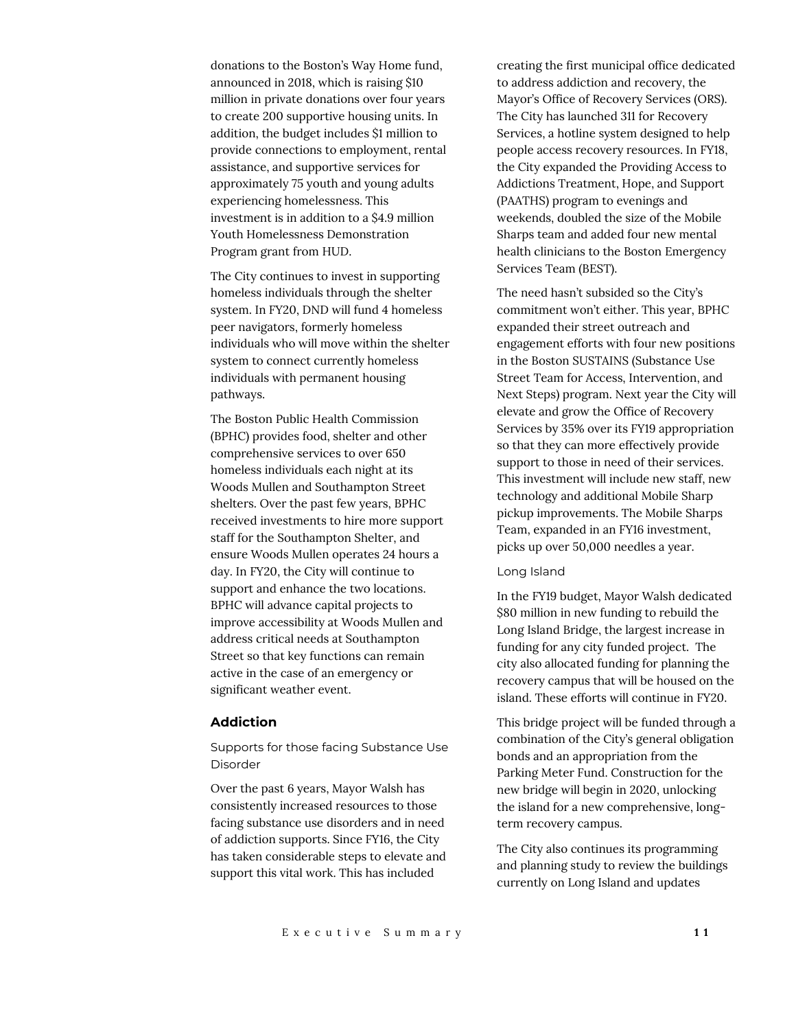donations to the Boston's Way Home fund, announced in 2018, which is raising \$10 million in private donations over four years to create 200 supportive housing units. In addition, the budget includes \$1 million to provide connections to employment, rental assistance, and supportive services for approximately 75 youth and young adults experiencing homelessness. This investment is in addition to a \$4.9 million Youth Homelessness Demonstration Program grant from HUD.

The City continues to invest in supporting homeless individuals through the shelter system. In FY20, DND will fund 4 homeless peer navigators, formerly homeless individuals who will move within the shelter system to connect currently homeless individuals with permanent housing pathways.

The Boston Public Health Commission (BPHC) provides food, shelter and other comprehensive services to over 650 homeless individuals each night at its Woods Mullen and Southampton Street shelters. Over the past few years, BPHC received investments to hire more support staff for the Southampton Shelter, and ensure Woods Mullen operates 24 hours a day. In FY20, the City will continue to support and enhance the two locations. BPHC will advance capital projects to improve accessibility at Woods Mullen and address critical needs at Southampton Street so that key functions can remain active in the case of an emergency or significant weather event.

# **Addiction**

Supports for those facing Substance Use Disorder

Over the past 6 years, Mayor Walsh has consistently increased resources to those facing substance use disorders and in need of addiction supports. Since FY16, the City has taken considerable steps to elevate and support this vital work. This has included

creating the first municipal office dedicated to address addiction and recovery, the Mayor's Office of Recovery Services (ORS). The City has launched 311 for Recovery Services, a hotline system designed to help people access recovery resources. In FY18, the City expanded the Providing Access to Addictions Treatment, Hope, and Support (PAATHS) program to evenings and weekends, doubled the size of the Mobile Sharps team and added four new mental health clinicians to the Boston Emergency Services Team (BEST).

The need hasn't subsided so the City's commitment won't either. This year, BPHC expanded their street outreach and engagement efforts with four new positions in the Boston SUSTAINS (Substance Use Street Team for Access, Intervention, and Next Steps) program. Next year the City will elevate and grow the Office of Recovery Services by 35% over its FY19 appropriation so that they can more effectively provide support to those in need of their services. This investment will include new staff, new technology and additional Mobile Sharp pickup improvements. The Mobile Sharps Team, expanded in an FY16 investment, picks up over 50,000 needles a year.

#### Long Island

In the FY19 budget, Mayor Walsh dedicated \$80 million in new funding to rebuild the Long Island Bridge, the largest increase in funding for any city funded project. The city also allocated funding for planning the recovery campus that will be housed on the island. These efforts will continue in FY20.

This bridge project will be funded through a combination of the City's general obligation bonds and an appropriation from the Parking Meter Fund. Construction for the new bridge will begin in 2020, unlocking the island for a new comprehensive, longterm recovery campus.

The City also continues its programming and planning study to review the buildings currently on Long Island and updates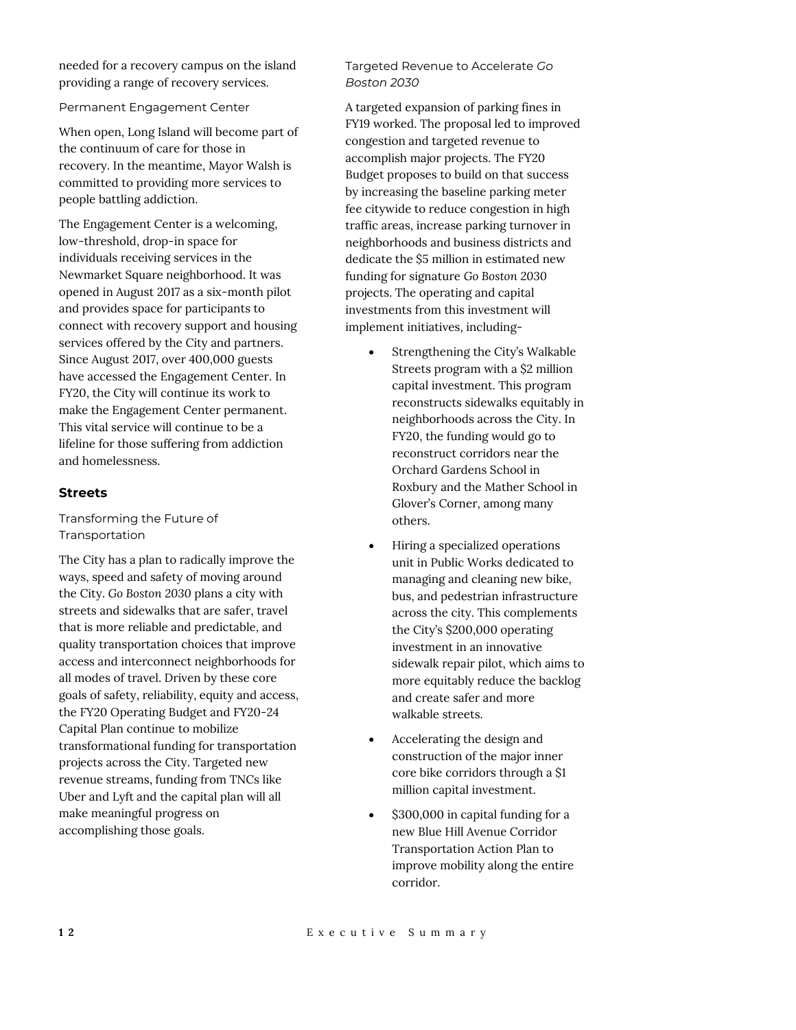needed for a recovery campus on the island providing a range of recovery services.

Permanent Engagement Center

When open, Long Island will become part of the continuum of care for those in recovery. In the meantime, Mayor Walsh is committed to providing more services to people battling addiction.

The Engagement Center is a welcoming, low-threshold, drop-in space for individuals receiving services in the Newmarket Square neighborhood. It was opened in August 2017 as a six-month pilot and provides space for participants to connect with recovery support and housing services offered by the City and partners. Since August 2017, over 400,000 guests have accessed the Engagement Center. In FY20, the City will continue its work to make the Engagement Center permanent. This vital service will continue to be a lifeline for those suffering from addiction and homelessness.

## **Streets**

## Transforming the Future of Transportation

The City has a plan to radically improve the ways, speed and safety of moving around the City. *Go Boston 2030* plans a city with streets and sidewalks that are safer, travel that is more reliable and predictable, and quality transportation choices that improve access and interconnect neighborhoods for all modes of travel. Driven by these core goals of safety, reliability, equity and access, the FY20 Operating Budget and FY20-24 Capital Plan continue to mobilize transformational funding for transportation projects across the City. Targeted new revenue streams, funding from TNCs like Uber and Lyft and the capital plan will all make meaningful progress on accomplishing those goals.

Targeted Revenue to Accelerate *Go Boston 2030*

A targeted expansion of parking fines in FY19 worked. The proposal led to improved congestion and targeted revenue to accomplish major projects. The FY20 Budget proposes to build on that success by increasing the baseline parking meter fee citywide to reduce congestion in high traffic areas, increase parking turnover in neighborhoods and business districts and dedicate the \$5 million in estimated new funding for signature *Go Boston 2030* projects. The operating and capital investments from this investment will implement initiatives, including-

- Strengthening the City's Walkable Streets program with a \$2 million capital investment. This program reconstructs sidewalks equitably in neighborhoods across the City. In FY20, the funding would go to reconstruct corridors near the Orchard Gardens School in Roxbury and the Mather School in Glover's Corner, among many others.
- Hiring a specialized operations unit in Public Works dedicated to managing and cleaning new bike, bus, and pedestrian infrastructure across the city. This complements the City's \$200,000 operating investment in an innovative sidewalk repair pilot, which aims to more equitably reduce the backlog and create safer and more walkable streets.
- Accelerating the design and construction of the major inner core bike corridors through a \$1 million capital investment.
- \$300,000 in capital funding for a new Blue Hill Avenue Corridor Transportation Action Plan to improve mobility along the entire corridor.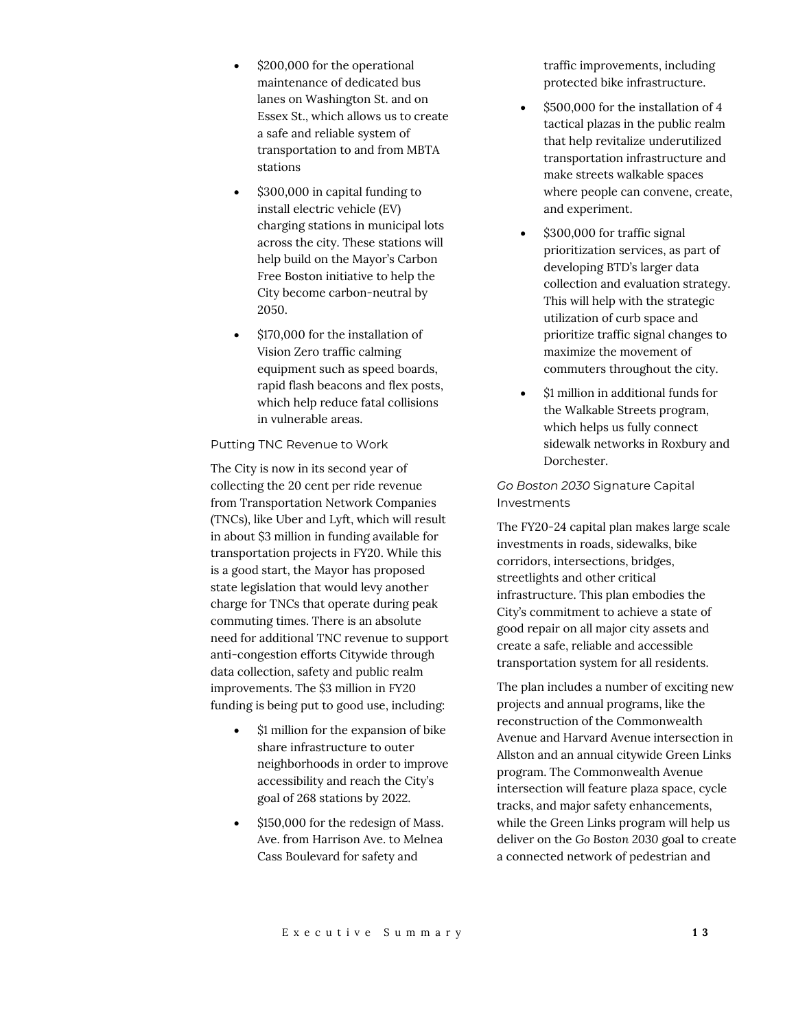- \$200,000 for the operational maintenance of dedicated bus lanes on Washington St. and on Essex St., which allows us to create a safe and reliable system of transportation to and from MBTA stations
- \$300,000 in capital funding to install electric vehicle (EV) charging stations in municipal lots across the city. These stations will help build on the Mayor's Carbon Free Boston initiative to help the City become carbon-neutral by 2050.
- \$170,000 for the installation of Vision Zero traffic calming equipment such as speed boards, rapid flash beacons and flex posts, which help reduce fatal collisions in vulnerable areas.

## Putting TNC Revenue to Work

The City is now in its second year of collecting the 20 cent per ride revenue from Transportation Network Companies (TNCs), like Uber and Lyft, which will result in about \$3 million in funding available for transportation projects in FY20. While this is a good start, the Mayor has proposed state legislation that would levy another charge for TNCs that operate during peak commuting times. There is an absolute need for additional TNC revenue to support anti-congestion efforts Citywide through data collection, safety and public realm improvements. The \$3 million in FY20 funding is being put to good use, including:

- \$1 million for the expansion of bike share infrastructure to outer neighborhoods in order to improve accessibility and reach the City's goal of 268 stations by 2022.
- \$150,000 for the redesign of Mass. Ave. from Harrison Ave. to Melnea Cass Boulevard for safety and

traffic improvements, including protected bike infrastructure.

- \$500,000 for the installation of 4 tactical plazas in the public realm that help revitalize underutilized transportation infrastructure and make streets walkable spaces where people can convene, create, and experiment.
- \$300,000 for traffic signal prioritization services, as part of developing BTD's larger data collection and evaluation strategy. This will help with the strategic utilization of curb space and prioritize traffic signal changes to maximize the movement of commuters throughout the city.
- \$1 million in additional funds for the Walkable Streets program, which helps us fully connect sidewalk networks in Roxbury and Dorchester.

# *Go Boston 2030* Signature Capital Investments

The FY20-24 capital plan makes large scale investments in roads, sidewalks, bike corridors, intersections, bridges, streetlights and other critical infrastructure. This plan embodies the City's commitment to achieve a state of good repair on all major city assets and create a safe, reliable and accessible transportation system for all residents.

The plan includes a number of exciting new projects and annual programs, like the reconstruction of the Commonwealth Avenue and Harvard Avenue intersection in Allston and an annual citywide Green Links program. The Commonwealth Avenue intersection will feature plaza space, cycle tracks, and major safety enhancements, while the Green Links program will help us deliver on the *Go Boston 2030* goal to create a connected network of pedestrian and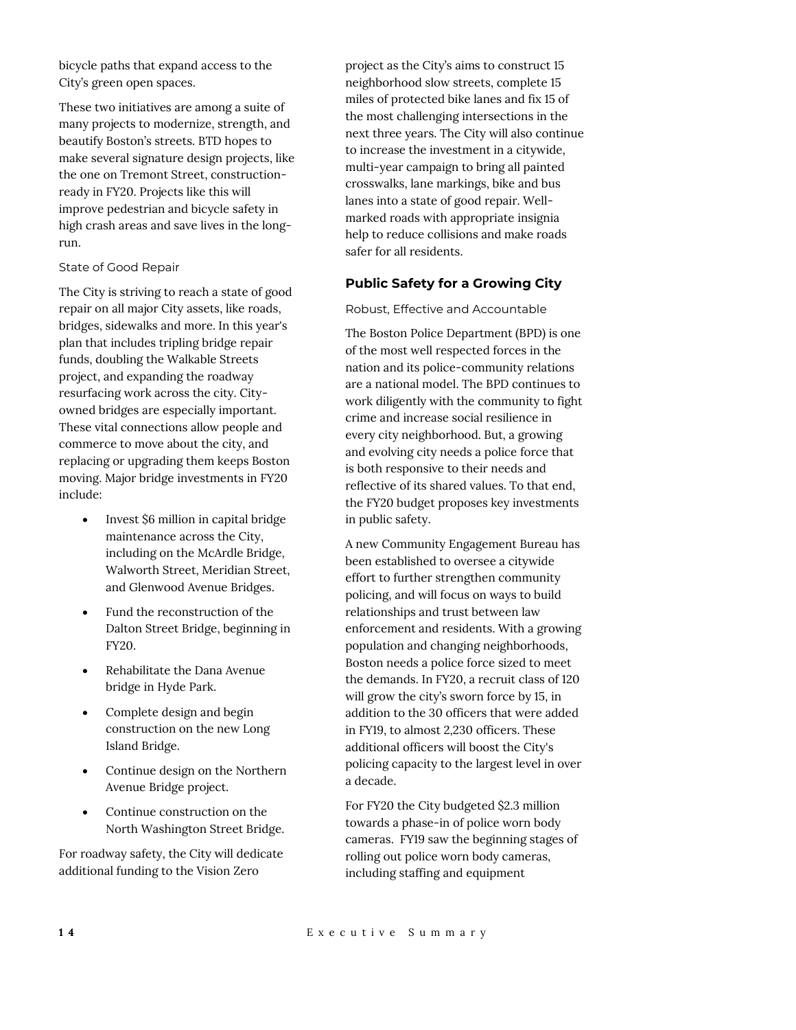bicycle paths that expand access to the City's green open spaces.

These two initiatives are among a suite of many projects to modernize, strength, and beautify Boston's streets. BTD hopes to make several signature design projects, like the one on Tremont Street, constructionready in FY20. Projects like this will improve pedestrian and bicycle safety in high crash areas and save lives in the longrun.

## State of Good Repair

The City is striving to reach a state of good repair on all major City assets, like roads, bridges, sidewalks and more. In this year's plan that includes tripling bridge repair funds, doubling the Walkable Streets project, and expanding the roadway resurfacing work across the city. Cityowned bridges are especially important. These vital connections allow people and commerce to move about the city, and replacing or upgrading them keeps Boston moving. Major bridge investments in FY20 include:

- Invest \$6 million in capital bridge maintenance across the City, including on the McArdle Bridge, Walworth Street, Meridian Street, and Glenwood Avenue Bridges.
- Fund the reconstruction of the Dalton Street Bridge, beginning in FY20.
- Rehabilitate the Dana Avenue bridge in Hyde Park.
- Complete design and begin construction on the new Long Island Bridge.
- Continue design on the Northern Avenue Bridge project.
- Continue construction on the North Washington Street Bridge.

For roadway safety, the City will dedicate additional funding to the Vision Zero

project as the City's aims to construct 15 neighborhood slow streets, complete 15 miles of protected bike lanes and fix 15 of the most challenging intersections in the next three years. The City will also continue to increase the investment in a citywide, multi-year campaign to bring all painted crosswalks, lane markings, bike and bus lanes into a state of good repair. Wellmarked roads with appropriate insignia help to reduce collisions and make roads safer for all residents.

# **Public Safety for a Growing City**

Robust, Effective and Accountable

The Boston Police Department (BPD) is one of the most well respected forces in the nation and its police-community relations are a national model. The BPD continues to work diligently with the community to fight crime and increase social resilience in every city neighborhood. But, a growing and evolving city needs a police force that is both responsive to their needs and reflective of its shared values. To that end, the FY20 budget proposes key investments in public safety.

A new Community Engagement Bureau has been established to oversee a citywide effort to further strengthen community policing, and will focus on ways to build relationships and trust between law enforcement and residents. With a growing population and changing neighborhoods, Boston needs a police force sized to meet the demands. In FY20, a recruit class of 120 will grow the city's sworn force by 15, in addition to the 30 officers that were added in FY19, to almost 2,230 officers. These additional officers will boost the City's policing capacity to the largest level in over a decade.

For FY20 the City budgeted \$2.3 million towards a phase-in of police worn body cameras. FY19 saw the beginning stages of rolling out police worn body cameras, including staffing and equipment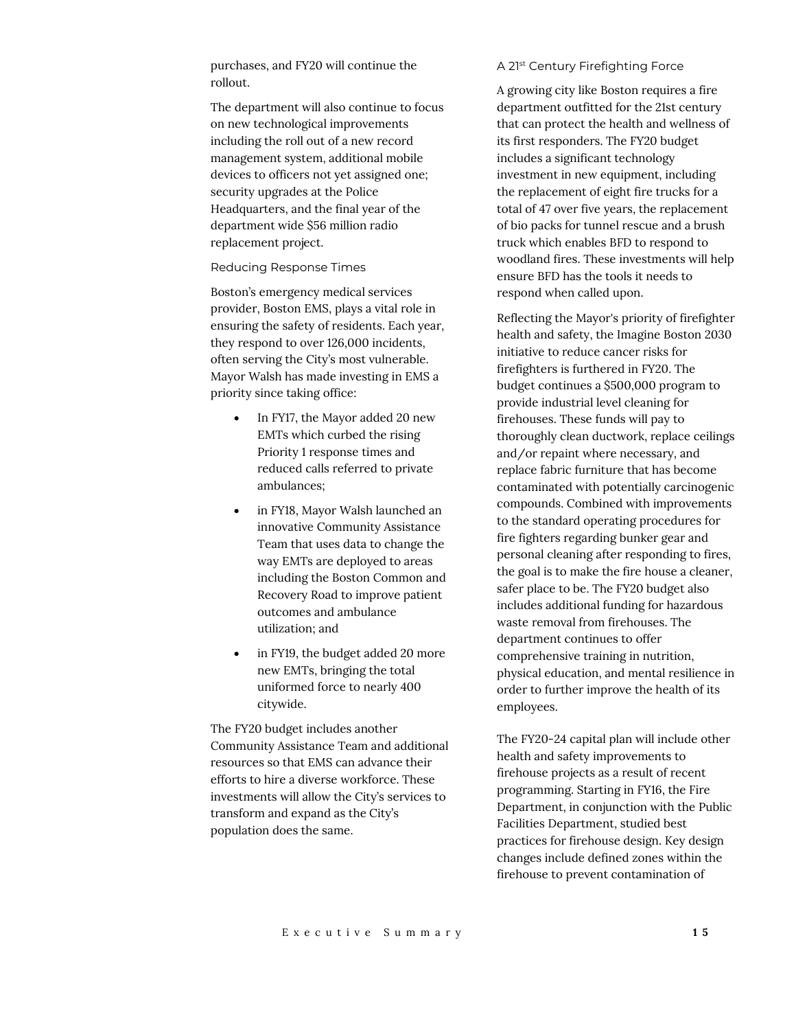purchases, and FY20 will continue the rollout.

The department will also continue to focus on new technological improvements including the roll out of a new record management system, additional mobile devices to officers not yet assigned one; security upgrades at the Police Headquarters, and the final year of the department wide \$56 million radio replacement project.

#### Reducing Response Times

Boston's emergency medical services provider, Boston EMS, plays a vital role in ensuring the safety of residents. Each year, they respond to over 126,000 incidents, often serving the City's most vulnerable. Mayor Walsh has made investing in EMS a priority since taking office:

- In FY17, the Mayor added 20 new EMTs which curbed the rising Priority 1 response times and reduced calls referred to private ambulances;
- in FY18, Mayor Walsh launched an innovative Community Assistance Team that uses data to change the way EMTs are deployed to areas including the Boston Common and Recovery Road to improve patient outcomes and ambulance utilization; and
- in FY19, the budget added 20 more new EMTs, bringing the total uniformed force to nearly 400 citywide.

The FY20 budget includes another Community Assistance Team and additional resources so that EMS can advance their efforts to hire a diverse workforce. These investments will allow the City's services to transform and expand as the City's population does the same.

#### A 21st Century Firefighting Force

A growing city like Boston requires a fire department outfitted for the 21st century that can protect the health and wellness of its first responders. The FY20 budget includes a significant technology investment in new equipment, including the replacement of eight fire trucks for a total of 47 over five years, the replacement of bio packs for tunnel rescue and a brush truck which enables BFD to respond to woodland fires. These investments will help ensure BFD has the tools it needs to respond when called upon.

Reflecting the Mayor's priority of firefighter health and safety, the Imagine Boston 2030 initiative to reduce cancer risks for firefighters is furthered in FY20. The budget continues a \$500,000 program to provide industrial level cleaning for firehouses. These funds will pay to thoroughly clean ductwork, replace ceilings and/or repaint where necessary, and replace fabric furniture that has become contaminated with potentially carcinogenic compounds. Combined with improvements to the standard operating procedures for fire fighters regarding bunker gear and personal cleaning after responding to fires, the goal is to make the fire house a cleaner, safer place to be. The FY20 budget also includes additional funding for hazardous waste removal from firehouses. The department continues to offer comprehensive training in nutrition, physical education, and mental resilience in order to further improve the health of its employees.

The FY20-24 capital plan will include other health and safety improvements to firehouse projects as a result of recent programming. Starting in FY16, the Fire Department, in conjunction with the Public Facilities Department, studied best practices for firehouse design. Key design changes include defined zones within the firehouse to prevent contamination of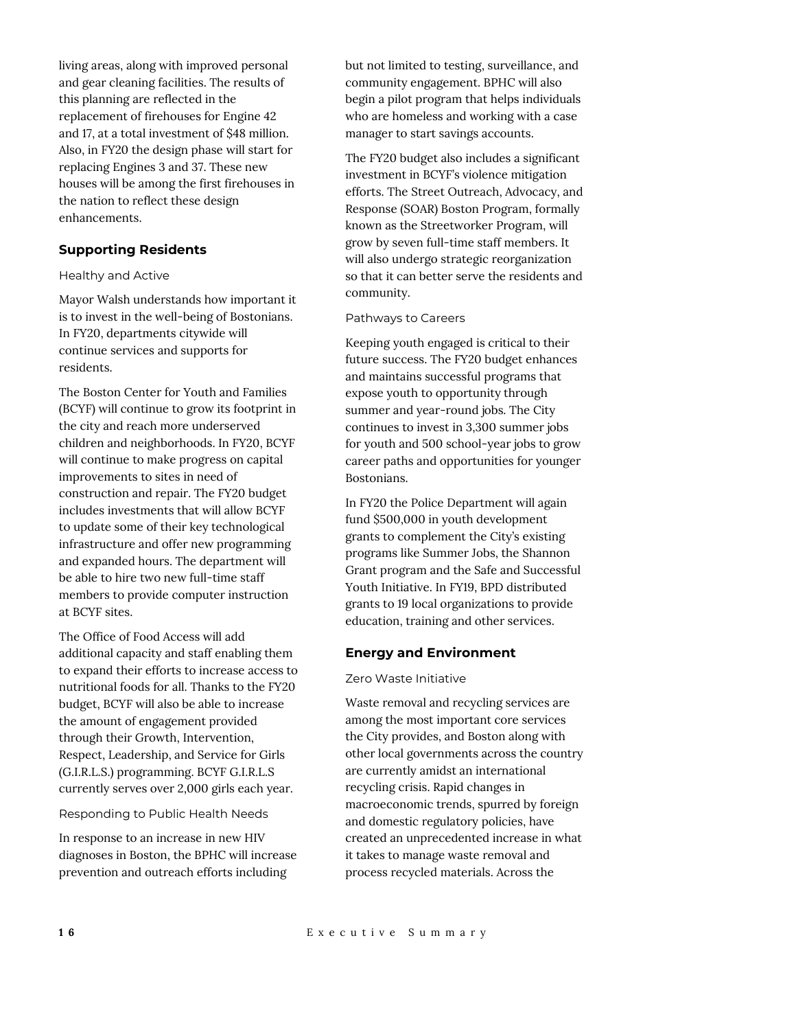living areas, along with improved personal and gear cleaning facilities. The results of this planning are reflected in the replacement of firehouses for Engine 42 and 17, at a total investment of \$48 million. Also, in FY20 the design phase will start for replacing Engines 3 and 37. These new houses will be among the first firehouses in the nation to reflect these design enhancements.

## **Supporting Residents**

#### Healthy and Active

Mayor Walsh understands how important it is to invest in the well-being of Bostonians. In FY20, departments citywide will continue services and supports for residents.

The Boston Center for Youth and Families (BCYF) will continue to grow its footprint in the city and reach more underserved children and neighborhoods. In FY20, BCYF will continue to make progress on capital improvements to sites in need of construction and repair. The FY20 budget includes investments that will allow BCYF to update some of their key technological infrastructure and offer new programming and expanded hours. The department will be able to hire two new full-time staff members to provide computer instruction at BCYF sites.

The Office of Food Access will add additional capacity and staff enabling them to expand their efforts to increase access to nutritional foods for all. Thanks to the FY20 budget, BCYF will also be able to increase the amount of engagement provided through their Growth, Intervention, Respect, Leadership, and Service for Girls (G.I.R.L.S.) programming. BCYF G.I.R.L.S currently serves over 2,000 girls each year.

Responding to Public Health Needs

In response to an increase in new HIV diagnoses in Boston, the BPHC will increase prevention and outreach efforts including

but not limited to testing, surveillance, and community engagement. BPHC will also begin a pilot program that helps individuals who are homeless and working with a case manager to start savings accounts.

The FY20 budget also includes a significant investment in BCYF's violence mitigation efforts. The Street Outreach, Advocacy, and Response (SOAR) Boston Program, formally known as the Streetworker Program, will grow by seven full-time staff members. It will also undergo strategic reorganization so that it can better serve the residents and community.

## Pathways to Careers

Keeping youth engaged is critical to their future success. The FY20 budget enhances and maintains successful programs that expose youth to opportunity through summer and year-round jobs. The City continues to invest in 3,300 summer jobs for youth and 500 school-year jobs to grow career paths and opportunities for younger Bostonians.

In FY20 the Police Department will again fund \$500,000 in youth development grants to complement the City's existing programs like Summer Jobs, the Shannon Grant program and the Safe and Successful Youth Initiative. In FY19, BPD distributed grants to 19 local organizations to provide education, training and other services.

## **Energy and Environment**

## Zero Waste Initiative

Waste removal and recycling services are among the most important core services the City provides, and Boston along with other local governments across the country are currently amidst an international recycling crisis. Rapid changes in macroeconomic trends, spurred by foreign and domestic regulatory policies, have created an unprecedented increase in what it takes to manage waste removal and process recycled materials. Across the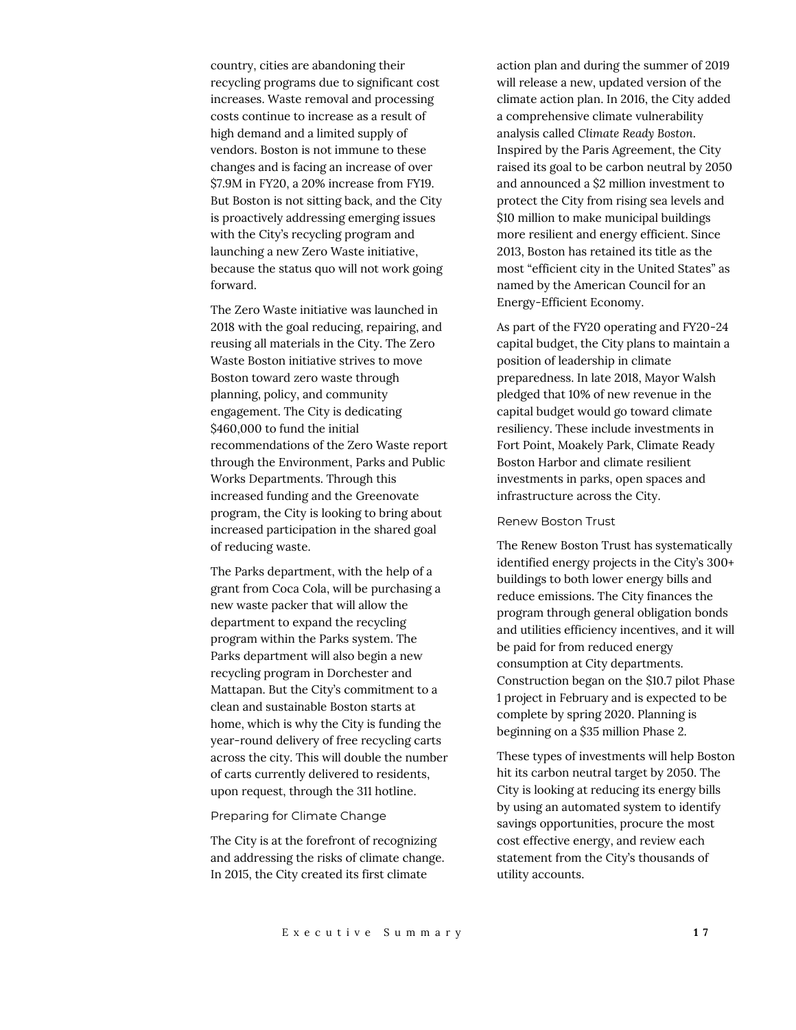country, cities are abandoning their recycling programs due to significant cost increases. Waste removal and processing costs continue to increase as a result of high demand and a limited supply of vendors. Boston is not immune to these changes and is facing an increase of over \$7.9M in FY20, a 20% increase from FY19. But Boston is not sitting back, and the City is proactively addressing emerging issues with the City's recycling program and launching a new Zero Waste initiative, because the status quo will not work going forward.

The Zero Waste initiative was launched in 2018 with the goal reducing, repairing, and reusing all materials in the City. The Zero Waste Boston initiative strives to move Boston toward zero waste through planning, policy, and community engagement. The City is dedicating \$460,000 to fund the initial recommendations of the Zero Waste report through the Environment, Parks and Public Works Departments. Through this increased funding and the Greenovate program, the City is looking to bring about increased participation in the shared goal of reducing waste.

The Parks department, with the help of a grant from Coca Cola, will be purchasing a new waste packer that will allow the department to expand the recycling program within the Parks system. The Parks department will also begin a new recycling program in Dorchester and Mattapan. But the City's commitment to a clean and sustainable Boston starts at home, which is why the City is funding the year-round delivery of free recycling carts across the city. This will double the number of carts currently delivered to residents, upon request, through the 311 hotline.

#### Preparing for Climate Change

The City is at the forefront of recognizing and addressing the risks of climate change. In 2015, the City created its first climate

action plan and during the summer of 2019 will release a new, updated version of the climate action plan. In 2016, the City added a comprehensive climate vulnerability analysis called *Climate Ready Boston*. Inspired by the Paris Agreement, the City raised its goal to be carbon neutral by 2050 and announced a \$2 million investment to protect the City from rising sea levels and \$10 million to make municipal buildings more resilient and energy efficient. Since 2013, Boston has retained its title as the most "efficient city in the United States" as named by the American Council for an Energy-Efficient Economy.

As part of the FY20 operating and FY20-24 capital budget, the City plans to maintain a position of leadership in climate preparedness. In late 2018, Mayor Walsh pledged that 10% of new revenue in the capital budget would go toward climate resiliency. These include investments in Fort Point, Moakely Park, Climate Ready Boston Harbor and climate resilient investments in parks, open spaces and infrastructure across the City.

#### Renew Boston Trust

The Renew Boston Trust has systematically identified energy projects in the City's 300+ buildings to both lower energy bills and reduce emissions. The City finances the program through general obligation bonds and utilities efficiency incentives, and it will be paid for from reduced energy consumption at City departments. Construction began on the \$10.7 pilot Phase 1 project in February and is expected to be complete by spring 2020. Planning is beginning on a \$35 million Phase 2.

These types of investments will help Boston hit its carbon neutral target by 2050. The City is looking at reducing its energy bills by using an automated system to identify savings opportunities, procure the most cost effective energy, and review each statement from the City's thousands of utility accounts.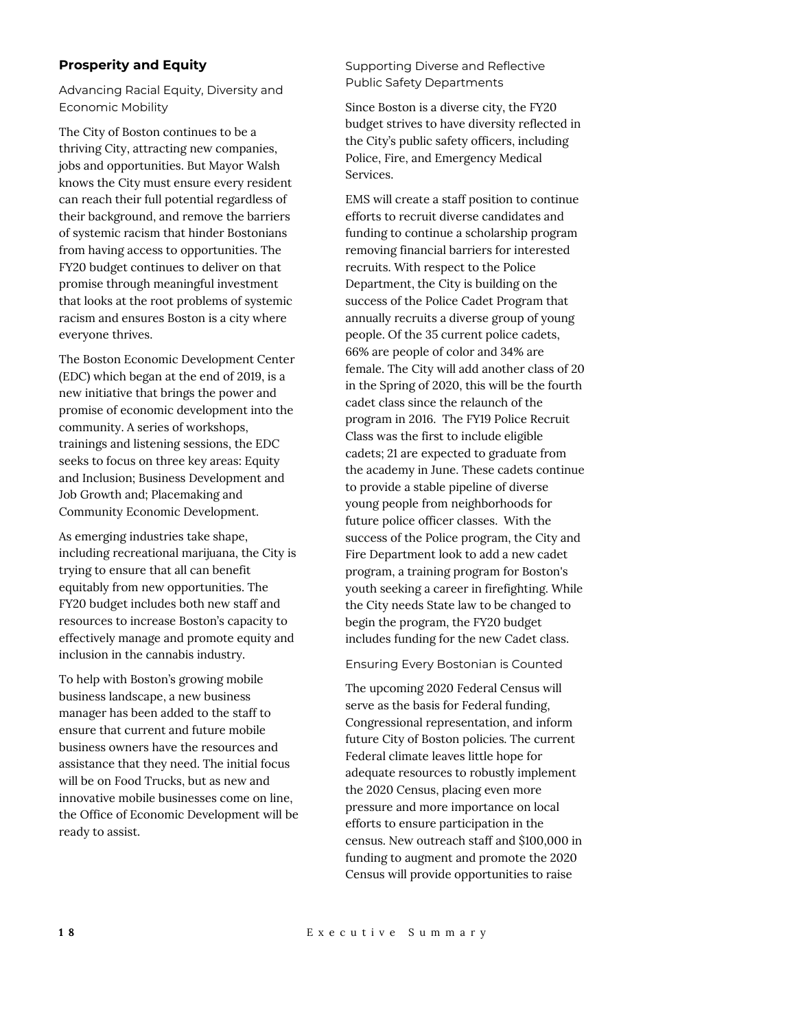## **Prosperity and Equity**

Advancing Racial Equity, Diversity and Economic Mobility

The City of Boston continues to be a thriving City, attracting new companies, jobs and opportunities. But Mayor Walsh knows the City must ensure every resident can reach their full potential regardless of their background, and remove the barriers of systemic racism that hinder Bostonians from having access to opportunities. The FY20 budget continues to deliver on that promise through meaningful investment that looks at the root problems of systemic racism and ensures Boston is a city where everyone thrives.

The Boston Economic Development Center (EDC) which began at the end of 2019, is a new initiative that brings the power and promise of economic development into the community. A series of workshops, trainings and listening sessions, the EDC seeks to focus on three key areas: Equity and Inclusion; Business Development and Job Growth and; Placemaking and Community Economic Development.

As emerging industries take shape, including recreational marijuana, the City is trying to ensure that all can benefit equitably from new opportunities. The FY20 budget includes both new staff and resources to increase Boston's capacity to effectively manage and promote equity and inclusion in the cannabis industry.

To help with Boston's growing mobile business landscape, a new business manager has been added to the staff to ensure that current and future mobile business owners have the resources and assistance that they need. The initial focus will be on Food Trucks, but as new and innovative mobile businesses come on line, the Office of Economic Development will be ready to assist.

Supporting Diverse and Reflective Public Safety Departments

Since Boston is a diverse city, the FY20 budget strives to have diversity reflected in the City's public safety officers, including Police, Fire, and Emergency Medical Services.

EMS will create a staff position to continue efforts to recruit diverse candidates and funding to continue a scholarship program removing financial barriers for interested recruits. With respect to the Police Department, the City is building on the success of the Police Cadet Program that annually recruits a diverse group of young people. Of the 35 current police cadets, 66% are people of color and 34% are female. The City will add another class of 20 in the Spring of 2020, this will be the fourth cadet class since the relaunch of the program in 2016. The FY19 Police Recruit Class was the first to include eligible cadets; 21 are expected to graduate from the academy in June. These cadets continue to provide a stable pipeline of diverse young people from neighborhoods for future police officer classes. With the success of the Police program, the City and Fire Department look to add a new cadet program, a training program for Boston's youth seeking a career in firefighting. While the City needs State law to be changed to begin the program, the FY20 budget includes funding for the new Cadet class.

Ensuring Every Bostonian is Counted

The upcoming 2020 Federal Census will serve as the basis for Federal funding, Congressional representation, and inform future City of Boston policies. The current Federal climate leaves little hope for adequate resources to robustly implement the 2020 Census, placing even more pressure and more importance on local efforts to ensure participation in the census. New outreach staff and \$100,000 in funding to augment and promote the 2020 Census will provide opportunities to raise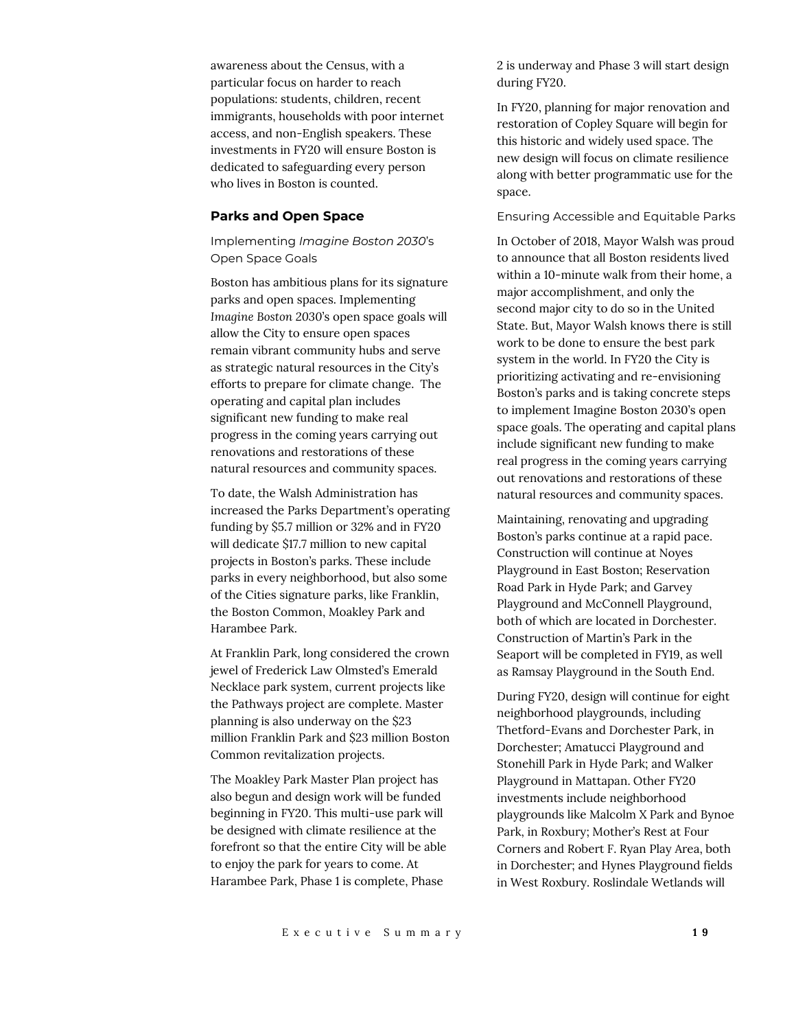awareness about the Census, with a particular focus on harder to reach populations: students, children, recent immigrants, households with poor internet access, and non-English speakers. These investments in FY20 will ensure Boston is dedicated to safeguarding every person who lives in Boston is counted.

## **Parks and Open Space**

Implementing *Imagine Boston 2030*'s Open Space Goals

Boston has ambitious plans for its signature parks and open spaces. Implementing *Imagine Boston 2030*'s open space goals will allow the City to ensure open spaces remain vibrant community hubs and serve as strategic natural resources in the City's efforts to prepare for climate change. The operating and capital plan includes significant new funding to make real progress in the coming years carrying out renovations and restorations of these natural resources and community spaces.

To date, the Walsh Administration has increased the Parks Department's operating funding by \$5.7 million or 32% and in FY20 will dedicate \$17.7 million to new capital projects in Boston's parks. These include parks in every neighborhood, but also some of the Cities signature parks, like Franklin, the Boston Common, Moakley Park and Harambee Park.

At Franklin Park, long considered the crown jewel of Frederick Law Olmsted's Emerald Necklace park system, current projects like the Pathways project are complete. Master planning is also underway on the \$23 million Franklin Park and \$23 million Boston Common revitalization projects.

The Moakley Park Master Plan project has also begun and design work will be funded beginning in FY20. This multi-use park will be designed with climate resilience at the forefront so that the entire City will be able to enjoy the park for years to come. At Harambee Park, Phase 1 is complete, Phase

2 is underway and Phase 3 will start design during FY20.

In FY20, planning for major renovation and restoration of Copley Square will begin for this historic and widely used space. The new design will focus on climate resilience along with better programmatic use for the space.

#### Ensuring Accessible and Equitable Parks

In October of 2018, Mayor Walsh was proud to announce that all Boston residents lived within a 10-minute walk from their home, a major accomplishment, and only the second major city to do so in the United State. But, Mayor Walsh knows there is still work to be done to ensure the best park system in the world. In FY20 the City is prioritizing activating and re-envisioning Boston's parks and is taking concrete steps to implement Imagine Boston 2030's open space goals. The operating and capital plans include significant new funding to make real progress in the coming years carrying out renovations and restorations of these natural resources and community spaces.

Maintaining, renovating and upgrading Boston's parks continue at a rapid pace. Construction will continue at Noyes Playground in East Boston; Reservation Road Park in Hyde Park; and Garvey Playground and McConnell Playground, both of which are located in Dorchester. Construction of Martin's Park in the Seaport will be completed in FY19, as well as Ramsay Playground in the South End.

During FY20, design will continue for eight neighborhood playgrounds, including Thetford-Evans and Dorchester Park, in Dorchester; Amatucci Playground and Stonehill Park in Hyde Park; and Walker Playground in Mattapan. Other FY20 investments include neighborhood playgrounds like Malcolm X Park and Bynoe Park, in Roxbury; Mother's Rest at Four Corners and Robert F. Ryan Play Area, both in Dorchester; and Hynes Playground fields in West Roxbury. Roslindale Wetlands will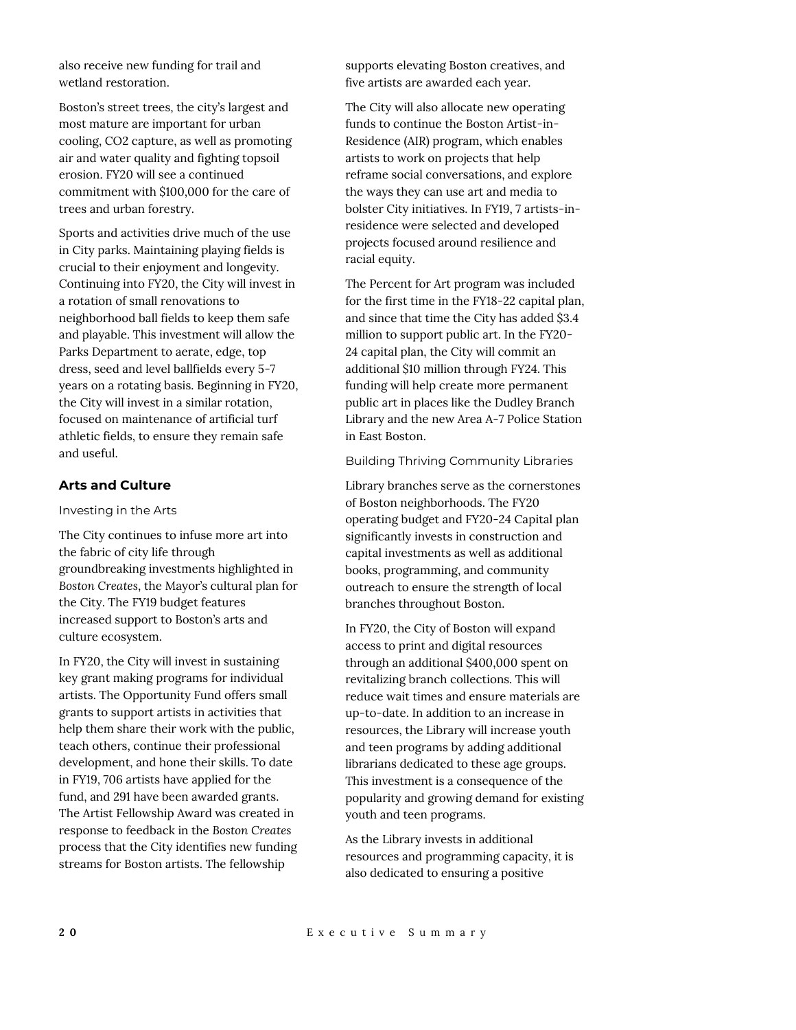also receive new funding for trail and wetland restoration.

Boston's street trees, the city's largest and most mature are important for urban cooling, CO2 capture, as well as promoting air and water quality and fighting topsoil erosion. FY20 will see a continued commitment with \$100,000 for the care of trees and urban forestry.

Sports and activities drive much of the use in City parks. Maintaining playing fields is crucial to their enjoyment and longevity. Continuing into FY20, the City will invest in a rotation of small renovations to neighborhood ball fields to keep them safe and playable. This investment will allow the Parks Department to aerate, edge, top dress, seed and level ballfields every 5-7 years on a rotating basis. Beginning in FY20, the City will invest in a similar rotation, focused on maintenance of artificial turf athletic fields, to ensure they remain safe and useful.

## **Arts and Culture**

#### Investing in the Arts

The City continues to infuse more art into the fabric of city life through groundbreaking investments highlighted in *Boston Creates*, the Mayor's cultural plan for the City. The FY19 budget features increased support to Boston's arts and culture ecosystem.

In FY20, the City will invest in sustaining key grant making programs for individual artists. The Opportunity Fund offers small grants to support artists in activities that help them share their work with the public, teach others, continue their professional development, and hone their skills. To date in FY19, 706 artists have applied for the fund, and 291 have been awarded grants. The Artist Fellowship Award was created in response to feedback in the *Boston Creates* process that the City identifies new funding streams for Boston artists. The fellowship

supports elevating Boston creatives, and five artists are awarded each year.

The City will also allocate new operating funds to continue the Boston Artist-in-Residence (AIR) program, which enables artists to work on projects that help reframe social conversations, and explore the ways they can use art and media to bolster City initiatives. In FY19, 7 artists-inresidence were selected and developed projects focused around resilience and racial equity.

The Percent for Art program was included for the first time in the FY18-22 capital plan, and since that time the City has added \$3.4 million to support public art. In the FY20- 24 capital plan, the City will commit an additional \$10 million through FY24. This funding will help create more permanent public art in places like the Dudley Branch Library and the new Area A-7 Police Station in East Boston.

## Building Thriving Community Libraries

Library branches serve as the cornerstones of Boston neighborhoods. The FY20 operating budget and FY20-24 Capital plan significantly invests in construction and capital investments as well as additional books, programming, and community outreach to ensure the strength of local branches throughout Boston.

In FY20, the City of Boston will expand access to print and digital resources through an additional \$400,000 spent on revitalizing branch collections. This will reduce wait times and ensure materials are up-to-date. In addition to an increase in resources, the Library will increase youth and teen programs by adding additional librarians dedicated to these age groups. This investment is a consequence of the popularity and growing demand for existing youth and teen programs.

As the Library invests in additional resources and programming capacity, it is also dedicated to ensuring a positive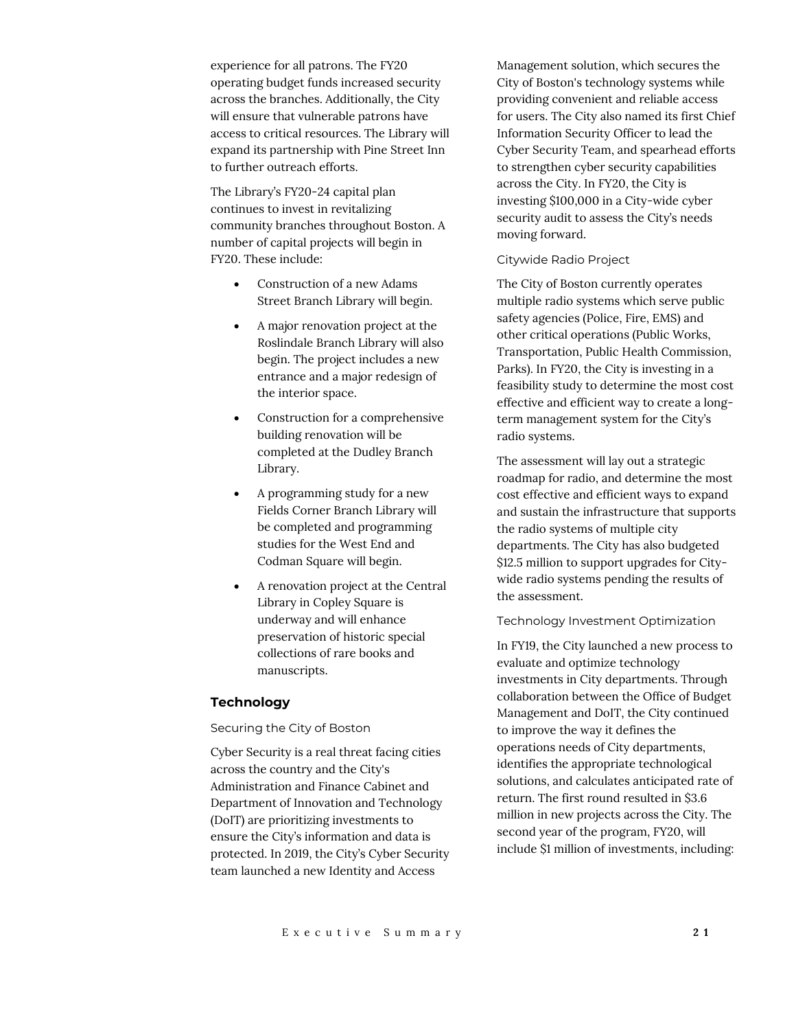experience for all patrons. The FY20 operating budget funds increased security across the branches. Additionally, the City will ensure that vulnerable patrons have access to critical resources. The Library will expand its partnership with Pine Street Inn to further outreach efforts.

The Library's FY20-24 capital plan continues to invest in revitalizing community branches throughout Boston. A number of capital projects will begin in FY20. These include:

- Construction of a new Adams Street Branch Library will begin.
- A major renovation project at the Roslindale Branch Library will also begin. The project includes a new entrance and a major redesign of the interior space.
- Construction for a comprehensive building renovation will be completed at the Dudley Branch Library.
- A programming study for a new Fields Corner Branch Library will be completed and programming studies for the West End and Codman Square will begin.
- A renovation project at the Central Library in Copley Square is underway and will enhance preservation of historic special collections of rare books and manuscripts.

#### **Technology**

## Securing the City of Boston

Cyber Security is a real threat facing cities across the country and the City's Administration and Finance Cabinet and Department of Innovation and Technology (DoIT) are prioritizing investments to ensure the City's information and data is protected. In 2019, the City's Cyber Security team launched a new Identity and Access

Management solution, which secures the City of Boston's technology systems while providing convenient and reliable access for users. The City also named its first Chief Information Security Officer to lead the Cyber Security Team, and spearhead efforts to strengthen cyber security capabilities across the City. In FY20, the City is investing \$100,000 in a City-wide cyber security audit to assess the City's needs moving forward.

#### Citywide Radio Project

The City of Boston currently operates multiple radio systems which serve public safety agencies (Police, Fire, EMS) and other critical operations (Public Works, Transportation, Public Health Commission, Parks). In FY20, the City is investing in a feasibility study to determine the most cost effective and efficient way to create a longterm management system for the City's radio systems.

The assessment will lay out a strategic roadmap for radio, and determine the most cost effective and efficient ways to expand and sustain the infrastructure that supports the radio systems of multiple city departments. The City has also budgeted \$12.5 million to support upgrades for Citywide radio systems pending the results of the assessment.

#### Technology Investment Optimization

In FY19, the City launched a new process to evaluate and optimize technology investments in City departments. Through collaboration between the Office of Budget Management and DoIT, the City continued to improve the way it defines the operations needs of City departments, identifies the appropriate technological solutions, and calculates anticipated rate of return. The first round resulted in \$3.6 million in new projects across the City. The second year of the program, FY20, will include \$1 million of investments, including: